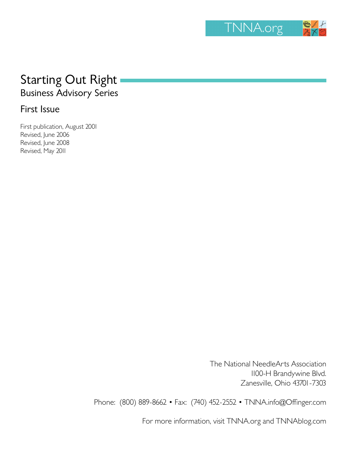

# Starting Out Right Business Advisory Series

# First Issue

First publication, August 2001 Revised, June 2006 Revised, June 2008 Revised, May 2011

> The National NeedleArts Association 1100-H Brandywine Blvd. Zanesville, Ohio 43701-7303

Phone: (800) 889-8662 • Fax: (740) 452-2552 • TNNA.info@Offinger.com

For more information, visit TNNA.org and TNNAblog.com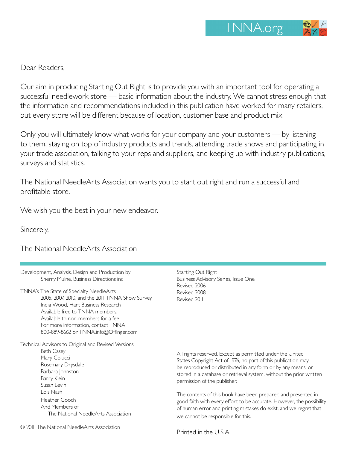Dear Readers,

Our aim in producing Starting Out Right is to provide you with an important tool for operating a successful needlework store — basic information about the industry. We cannot stress enough that the information and recommendations included in this publication have worked for many retailers, but every store will be different because of location, customer base and product mix.

Only you will ultimately know what works for your company and your customers — by listening to them, staying on top of industry products and trends, attending trade shows and participating in your trade association, talking to your reps and suppliers, and keeping up with industry publications, surveys and statistics.

The National NeedleArts Association wants you to start out right and run a successful and profitable store.

We wish you the best in your new endeavor.

Sincerely,

The National NeedleArts Association

| Development, Analysis, Design and Production by: |
|--------------------------------------------------|
| Sherry Mulne, Business Directions inc            |

TNNA's The State of Specialty NeedleArts 2005, 2007, 2010, and the 2011 TNNA Show Survey India Wood, Hart Business Research Available free to TNNA members. Available to non-members for a fee. For more information, contact TNNA 800-889-8662 or TNNA.info@Offinger.com

Technical Advisors to Original and Revised Versions: Beth Casey Mary Colucci Rosemary Drysdale Barbara Johnston Barry Klein Susan Levin Lois Nash Heather Gooch And Members of

The National NeedleArts Association

Starting Out Right Business Advisory Series, Issue One Revised 2006 Revised 2008 Revised 2011

All rights reserved. Except as permitted under the United States Copyright Act of 1976, no part of this publication may be reproduced or distributed in any form or by any means, or stored in a database or retrieval system, without the prior written permission of the publisher.

The contents of this book have been prepared and presented in good faith with every effort to be accurate. However, the possibility of human error and printing mistakes do exist, and we regret that we cannot be responsible for this.

Printed in the U.S.A.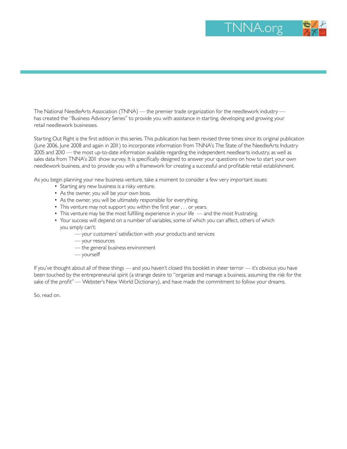

The National NeedleArts Association (TNNA) — the premier trade organization for the needlework industry has created the "Business Advisory Series" to provide you with assistance in starting, developing and growing your retail needlework businesses.

Starting Out Right is the first edition in this series. This publication has been revised three times since its original publication (June 2006, June 2008 and again in 2011) to incorporate information from TNNA's The State of the NeedleArts Industry 2005 and 2010 — the most up-to-date information available regarding the independent needlearts industry, as well as sales data from TNNA's 2011 show survey. It is specifically designed to answer your questions on how to start your own needlework business, and to provide you with a framework for creating a successful and profitable retail establishment.

As you begin planning your new business venture, take a moment to consider a few very important issues:

- Starting any new business is a risky venture.
- As the owner, you will be your own boss.
- As the owner, you will be ultimately responsible for everything.
- This venture may not support you within the first year . . . or years.
- This venture may be the most fulfilling experience in your life and the most frustrating.
- Your success will depend on a number of variables, some of which you can affect, others of which you simply can't:
	- your customers' satisfaction with your products and services
	- your resources
	- the general business environment
	- yourself!

If you've thought about all of these things — and you haven't closed this booklet in sheer terror — it's obvious you have been touched by the entrepreneurial spirit (a strange desire to "organize and manage a business, assuming the risk for the sake of the profit" — Webster's New World Dictionary), and have made the commitment to follow your dreams.

So, read on.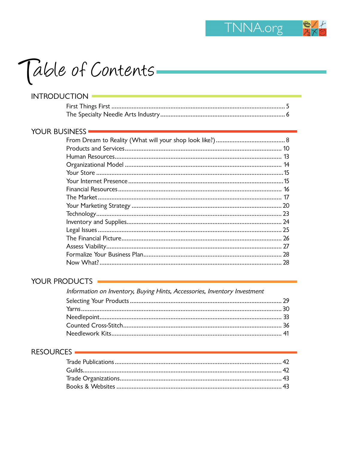

| <b>INTRODUCTION</b>  |  |
|----------------------|--|
|                      |  |
|                      |  |
| <b>YOUR BUSINESS</b> |  |
|                      |  |
|                      |  |
|                      |  |
|                      |  |
|                      |  |
|                      |  |
|                      |  |
|                      |  |
|                      |  |
|                      |  |
|                      |  |
|                      |  |
|                      |  |
|                      |  |
|                      |  |
|                      |  |
|                      |  |

#### YOUR PRODUCTS

| Information on Inventory, Buying Hints, Accessories, Inventory Investment |  |
|---------------------------------------------------------------------------|--|
|                                                                           |  |
|                                                                           |  |
|                                                                           |  |
|                                                                           |  |
|                                                                           |  |

#### RESOURCES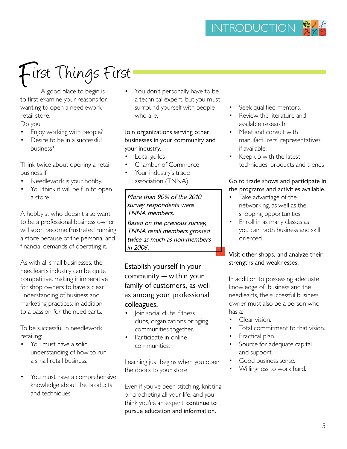# First Things First

 A good place to begin is to first examine your reasons for wanting to open a needlework retail store.

Do you:

- Enjoy working with people?
- Desire to be in a successful business?

Think twice about opening a retail business if:

- Needlework is your hobby.
- You think it will be fun to open a store.

A hobbyist who doesn't also want to be a professional business owner will soon become frustrated running a store because of the personal and financial demands of operating it.

As with all small businesses, the needlearts industry can be quite competitive, making it imperative for shop owners to have a clear understanding of business and marketing practices, in addition to a passion for the needlearts.

To be successful in needlework retailing:

- You must have a solid understanding of how to run a small retail business.
- You must have a comprehensive knowledge about the products and techniques.

You don't personally have to be a technical expert, but you must surround yourself with people who are.

Join organizations serving other businesses in your community and your industry.

- Local guilds
- Chamber of Commerce
- Your industry's trade association (TNNA)

More than 90% of the 2010 survey respondents were TNNA members.

Based on the previous survey, TNNA retail members grossed twice as much as non-members in 2006.

Establish yourself in your community — within your family of customers, as well as among your professional colleagues.

- **Join social clubs, fitness** clubs, organizations bringing communities together.
- Participate in online communities.

Learning just begins when you open the doors to your store.

Even if you've been stitching, knitting or crocheting all your life, and you think you're an expert, continue to pursue education and information.

- Seek qualified mentors.
- Review the literature and available research.
- Meet and consult with manufacturers' representatives, if available.
- Keep up with the latest techniques, products and trends

#### Go to trade shows and participate in the programs and activities available.

- Take advantage of the networking, as well as the shopping opportunities.
- Enroll in as many classes as you can, both business and skill oriented.

#### Visit other shops, and analyze their strengths and weaknesses.

In addition to possessing adequate knowledge of business and the needlearts, the successful business owner must also be a person who has a:

- Clear vision.
- Total commitment to that vision.
- Practical plan.
- Source for adequate capital and support.
- Good business sense.
- Willingness to work hard.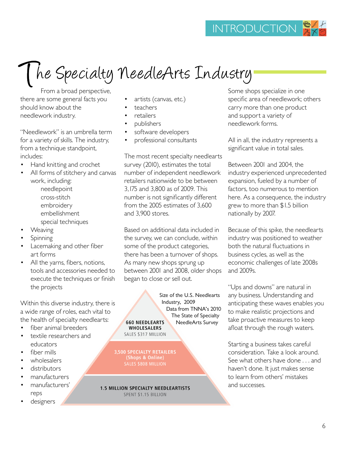# The Specialty NeedleArts Industry

From a broad perspective, there are some general facts you should know about the needlework industry.

"Needlework" is an umbrella term for a variety of skills. The industry, from a technique standpoint, includes:

- Hand knitting and crochet
- All forms of stitchery and canvas work, including: needlepoint cross-stitch embroidery
	- embellishment
	- special techniques
- Weaving
- Spinning
- Lacemaking and other fiber art forms
- All the yarns, fibers, notions, tools and accessories needed to execute the techniques or finish the projects

Within this diverse industry, there is a wide range of roles, each vital to the health of specialty needlearts:

- fiber animal breeders
- textile researchers and educators
- fiber mills
- wholesalers
- distributors
- manufacturers
- manufacturers' reps
- designers
- artists (canvas, etc.)
- teachers
- **retailers**
- publishers
- software developers
- professional consultants

The most recent specialty needlearts survey (2010), estimates the total number of independent needlework retailers nationwide to be between 3,175 and 3,800 as of 2009. This number is not significantly different from the 2005 estimates of 3,600 and 3,900 stores.

Based on additional data included in the survey, we can conclude, within some of the product categories, there has been a turnover of shops. As many new shops sprung up between 2001 and 2008, older shops began to close or sell out.

Size of the U.S. Needlearts Industry, 2009 Data from TNNA's 2010 The State of Specialty **660 NEEDLEARTS** NeedleArts Survey**WHOLESALERS** SALES \$317 MILLION

**3,500 SPECIALTY RETAILERS** (Shops & Online) **SALES \$808 MILLION** 

**1.5 MILLION SPECIALTY NEEDLEARTISTS** SPENT \$1.15 BILLION

Some shops specialize in one specific area of needlework; others carry more than one product and support a variety of needlework forms.

All in all, the industry represents a significant value in total sales.

Between 2001 and 2004, the industry experienced unprecedented expansion, fueled by a number of factors, too numerous to mention here. As a consequence, the industry grew to more than \$1.5 billion nationally by 2007.

Because of this spike, the needlearts industry was positioned to weather both the natural fluctuations in business cycles, as well as the economic challenges of late 2008s and 2009s.

"Ups and downs" are natural in any business. Understanding and anticipating these waves enables you to make realistic projections and take proactive measures to keep afloat through the rough waters.

Starting a business takes careful consideration. Take a look around. See what others have done . . . and haven't done. It just makes sense to learn from others' mistakes and successes.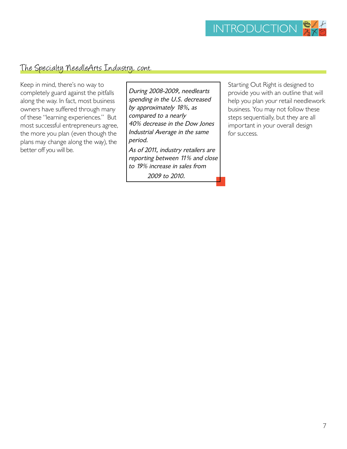

### The Specialty NeedleArts Industry, cont.

Keep in mind, there's no way to completely guard against the pitfalls along the way. In fact, most business owners have suffered through many of these "learning experiences." But most successful entrepreneurs agree, the more you plan (even though the plans may change along the way), the better off you will be.

During 2008-2009, needlearts spending in the U.S. decreased by approximately 18%, as compared to a nearly 40% decrease in the Dow Jones Industrial Average in the same period. As of 2011, industry retailers are reporting between 11% and close

to 19% increase in sales from 2009 to 2010.

Starting Out Right is designed to provide you with an outline that will help you plan your retail needlework business. You may not follow these steps sequentially, but they are all important in your overall design for success.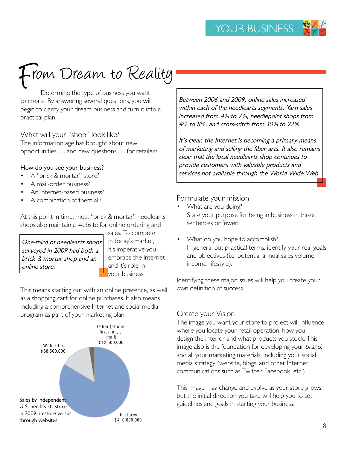# From Dream to Reality

Determine the type of business you want to create. By answering several questions, you will begin to clarify your dream business and turn it into a practical plan.

What will your "shop" look like?

The information age has brought about new opportunities . . . and new questions . . . for retailers.

#### How do you see your business?

- A "brick & mortar" store?
- A mail-order business?
- An Internet-based business?
- A combination of them all?

At this point in time, most "brick & mortar" needlearts shops also maintain a website for online ordering and

One-third of needlearts shops surveyed in 2009 had both a brick & mortar shop and an online store.

sales. To compete in today's market, it's imperative you embrace the Internet and it's role in your business.

This means starting out with an online presence, as well as a shopping cart for online purchases. It also means including a comprehensive Internet and social media program as part of your marketing plan.



Between 2006 and 2009, online sales increased within each of the needlearts segments. Yarn sales increased from 4% to 7%, needlepoint shops from 4% to 8%, and cross-stitch from 10% to 22%.

It's clear, the Internet is becoming a primary means of marketing and selling the fiber arts. It also remains clear that the local needlearts shop continues to provide customers with valuable products and services not available through the World Wide Web.

Formulate your mission

- What are you doing? State your purpose for being in business in three sentences or fewer.
- What do you hope to accomplish? In general but practical terms, identify your real goals and objectives (i.e. potential annual sales volume, income, lifestyle).

Identifying these major issues will help you create your own definition of success.

#### Create your Vision

The image you want your store to project will influence where you locate your retail operation, how you design the interior and what products you stock. This image also is the foundation for developing your brand, and all your marketing materials, including your social media strategy (website, blogs, and other Internet communications such as Twitter, Facebook, etc.)

This image may change and evolve as your store grows, but the initial direction you take will help you to set guidelines and goals in starting your business.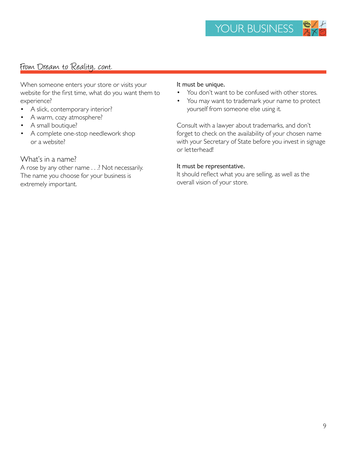### From Dream to Reality, cont.

When someone enters your store or visits your website for the first time, what do you want them to experience?

- A slick, contemporary interior?
- A warm, cozy atmosphere?
- A small boutique?
- A complete one-stop needlework shop or a website?

#### What's in a name?

A rose by any other name . . .? Not necessarily. The name you choose for your business is extremely important.

#### It must be unique.

- You don't want to be confused with other stores.
- You may want to trademark your name to protect yourself from someone else using it.

Consult with a lawyer about trademarks, and don't forget to check on the availability of your chosen name with your Secretary of State before you invest in signage or letterhead!

#### It must be representative.

It should reflect what you are selling, as well as the overall vision of your store.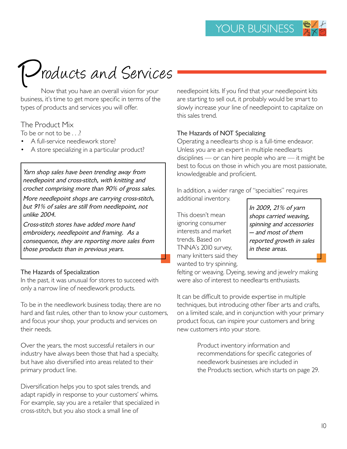# *Products and Services*

Now that you have an overall vision for your business, it's time to get more specific in terms of the types of products and services you will offer.

#### The Product Mix

To be or not to be . . .?

- A full-service needlework store?
- A store specializing in a particular product?

Yarn shop sales have been trending away from needlepoint and cross-stitch, with knitting and crochet comprising more than 90% of gross sales.

More needlepoint shops are carrying cross-stitch, but 91% of sales are still from needlepoint, not unlike 2004.

Cross-stitch stores have added more hand embroidery, needlepoint and framing. As a consequence, they are reporting more sales from those products than in previous years.

#### The Hazards of Specialization

In the past, it was unusual for stores to succeed with only a narrow line of needlework products.

To be in the needlework business today, there are no hard and fast rules, other than to know your customers, and focus your shop, your products and services on their needs.

Over the years, the most successful retailers in our industry have always been those that had a specialty, but have also diversified into areas related to their primary product line.

Diversification helps you to spot sales trends, and adapt rapidly in response to your customers' whims. For example, say you are a retailer that specialized in cross-stitch, but you also stock a small line of

needlepoint kits. If you find that your needlepoint kits are starting to sell out, it probably would be smart to slowly increase your line of needlepoint to capitalize on this sales trend.

#### The Hazards of NOT Specializing

Operating a needlearts shop is a full-time endeavor. Unless you are an expert in multiple needlearts disciplines — or can hire people who are — it might be best to focus on those in which you are most passionate, knowledgeable and proficient.

In addition, a wider range of "specialties" requires additional inventory.

This doesn't mean ignoring consumer interests and market trends. Based on TNNA's 2010 survey, many knitters said they wanted to try spinning,

In 2009, 21% of yarn shops carried weaving, spinning and accessories — and most of them reported growth in sales in these areas.

felting or weaving. Dyeing, sewing and jewelry making were also of interest to needlearts enthusiasts.

It can be difficult to provide expertise in multiple techniques, but introducing other fiber arts and crafts, on a limited scale, and in conjunction with your primary product focus, can inspire your customers and bring new customers into your store.

> Product inventory information and recommendations for specific categories of needlework businesses are included in the Products section, which starts on page 29.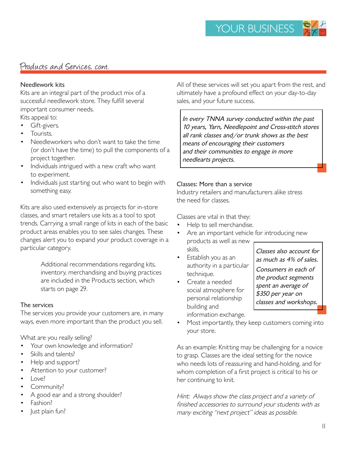# Products and Services, cont.

#### Needlework kits

Kits are an integral part of the product mix of a successful needlework store. They fulfill several important consumer needs.

Kits appeal to:

- Gift-givers.
- Tourists.
- Needleworkers who don't want to take the time (or don't have the time) to pull the components of a project together.
- Individuals intrigued with a new craft who want to experiment.
- Individuals just starting out who want to begin with something easy.

Kits are also used extensively as projects for in-store classes, and smart retailers use kits as a tool to spot trends. Carrying a small range of kits in each of the basic product areas enables you to see sales changes. These changes alert you to expand your product coverage in a particular category.

> Additional recommendations regarding kits, inventory, merchandising and buying practices are included in the Products section, which starts on page 29.

#### The services

The services you provide your customers are, in many ways, even more important than the product you sell.

What are you really selling?

- Your own knowledge and information?
- Skills and talents?
- Help and support?
- Attention to your customer?
- Love?
- Community?
- A good ear and a strong shoulder?
- Fashion?
- Just plain fun?

All of these services will set you apart from the rest, and ultimately have a profound effect on your day-to-day sales, and your future success.

In every TNNA survey conducted within the past 10 years, Yarn, Needlepoint and Cross-stitch stores all rank classes and/or trunk shows as the best means of encouraging their customers and their communities to engage in more needlearts projects.

#### Classes: More than a service

Industry retailers and manufacturers alike stress the need for classes.

Classes are vital in that they:

- Help to sell merchandise.
- Are an important vehicle for introducing new products as well as new skills.
- Establish you as an authority in a particular technique.
- Create a needed social atmosphere for personal relationship building and information exchange.

Classes also account for as much as 4% of sales.

Consumers in each of the product segments spent an average of \$350 per year on classes and workshops.

Most importantly, they keep customers coming into your store.

As an example: Knitting may be challenging for a novice to grasp. Classes are the ideal setting for the novice who needs lots of reassuring and hand-holding, and for whom completion of a first project is critical to his or her continuing to knit.

Hint: Always show the class project and a variety of finished accessories to surround your students with as many exciting "next project" ideas as possible.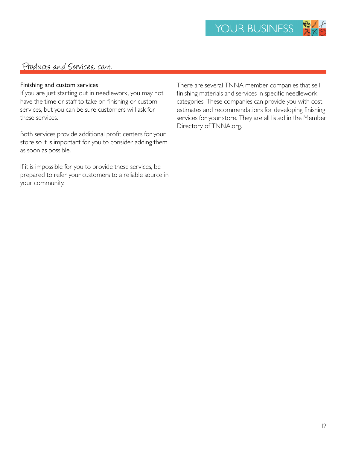### Products and Services, cont.

#### Finishing and custom services

If you are just starting out in needlework, you may not have the time or staff to take on finishing or custom services, but you can be sure customers will ask for these services.

Both services provide additional profit centers for your store so it is important for you to consider adding them as soon as possible.

If it is impossible for you to provide these services, be prepared to refer your customers to a reliable source in your community.

There are several TNNA member companies that sell finishing materials and services in specific needlework categories. These companies can provide you with cost estimates and recommendations for developing finishing services for your store. They are all listed in the Member Directory of TNNA.org.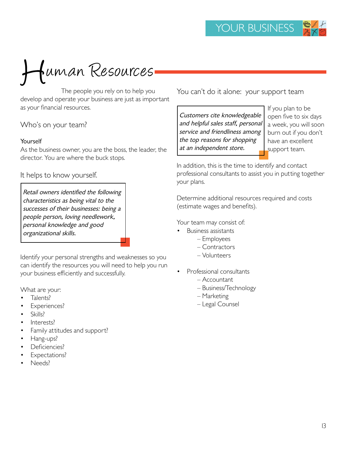

develop and operate your business are just as important as your financial resources.

Who's on your team?

#### Yourself

As the business owner, you are the boss, the leader, the director. You are where the buck stops.

It helps to know yourself.

Retail owners identified the following characteristics as being vital to the successes of their businesses: being a people person, loving needlework, personal knowledge and good organizational skills.

Identify your personal strengths and weaknesses so you can identify the resources you will need to help you run your business efficiently and successfully.

What are your:

- Talents?
- Experiences?
- Skills?
- Interests?
- Family attitudes and support?
- Hang-ups?
- Deficiencies?
- Expectations?
- Needs?

You can't do it alone: your support team

Customers cite knowledgeable and helpful sales staff, personal service and friendliness among the top reasons for shopping at an independent store.

If you plan to be open five to six days a week, you will soon burn out if you don't have an excellent support team.

In addition, this is the time to identify and contact professional consultants to assist you in putting together your plans.

Determine additional resources required and costs (estimate wages and benefits).

Your team may consist of:

- Business assistants
	- Employees
		- Contractors
		- Volunteers
- Professional consultants
	- Accountant
	- Business/Technology
	- Marketing
	- Legal Counsel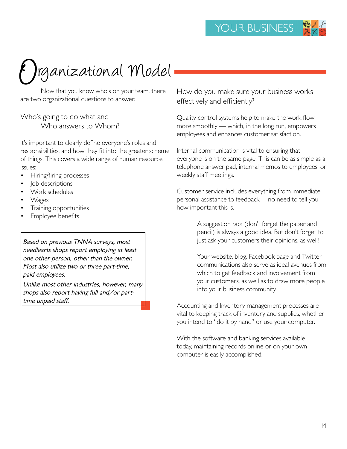# Irganizational Model

Now that you know who's on your team, there are two organizational questions to answer.

# Who's going to do what and

Who answers to Whom?

It's important to clearly define everyone's roles and responsibilities, and how they fit into the greater scheme of things. This covers a wide range of human resource issues:

- Hiring/firing processes
- Job descriptions
- Work schedules
- Wages
- Training opportunities
- Employee benefits

Based on previous TNNA surveys, most needlearts shops report employing at least one other person, other than the owner. Most also utilize two or three part-time, paid employees.

Unlike most other industries, however, many shops also report having full and/or parttime unpaid staff.

How do you make sure your business works effectively and efficiently?

Quality control systems help to make the work flow more smoothly — which, in the long run, empowers employees and enhances customer satisfaction.

Internal communication is vital to ensuring that everyone is on the same page. This can be as simple as a telephone answer pad, internal memos to employees, or weekly staff meetings.

Customer service includes everything from immediate personal assistance to feedback —no need to tell you how important this is.

> A suggestion box (don't forget the paper and pencil) is always a good idea. But don't forget to just ask your customers their opinions, as well!

Your website, blog, Facebook page and Twitter communications also serve as ideal avenues from which to get feedback and involvement from your customers, as well as to draw more people into your business community.

Accounting and Inventory management processes are vital to keeping track of inventory and supplies, whether you intend to "do it by hand" or use your computer.

With the software and banking services available today, maintaining records online or on your own computer is easily accomplished.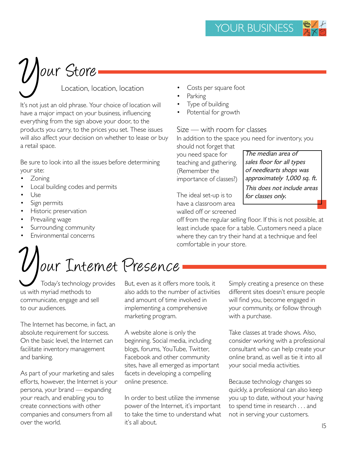# $U$  our Store

Location, location, location

It's not just an old phrase. Your choice of location will have a major impact on your business, influencing everything from the sign above your door, to the products you carry, to the prices you set. These issues will also affect your decision on whether to lease or buy a retail space.

Be sure to look into all the issues before determining your site:

- Zoning
- Local building codes and permits
- Use
- Sign permits
- Historic preservation
- Prevailing wage
- Surrounding community
- Environmental concerns

# $U$  our Internet Presence

 Today's technology provides us with myriad methods to communicate, engage and sell to our audiences.

The Internet has become, in fact, an absolute requirement for success. On the basic level, the Internet can facilitate inventory management and banking.

As part of your marketing and sales efforts, however, the Internet is your persona, your brand — expanding your reach, and enabling you to create connections with other companies and consumers from all over the world.

But, even as it offers more tools, it also adds to the number of activities and amount of time involved in implementing a comprehensive marketing program.

A website alone is only the beginning. Social media, including blogs, forums, YouTube, Twitter, Facebook and other community sites, have all emerged as important facets in developing a compelling online presence.

In order to best utilize the immense power of the Internet, it's important to take the time to understand what it's all about.

- Costs per square foot
- Parking
- Type of building
- Potential for growth

Size — with room for classes

In addition to the space you need for inventory, you should not forget that

you need space for teaching and gathering. (Remember the importance of classes?)

The median area of sales floor for all types of needlearts shops was approximately 1,000 sq. ft. This does not include areas

for classes only.

The ideal set-up is to have a classroom area walled off or screened

off from the regular selling floor. If this is not possible, at least include space for a table. Customers need a place where they can try their hand at a technique and feel comfortable in your store.

> Simply creating a presence on these different sites doesn't ensure people will find you, become engaged in your community, or follow through with a purchase.

> Take classes at trade shows. Also, consider working with a professional consultant who can help create your online brand, as well as tie it into all your social media activities.

Because technology changes so quickly, a professional can also keep you up to date, without your having to spend time in research . . . and not in serving your customers.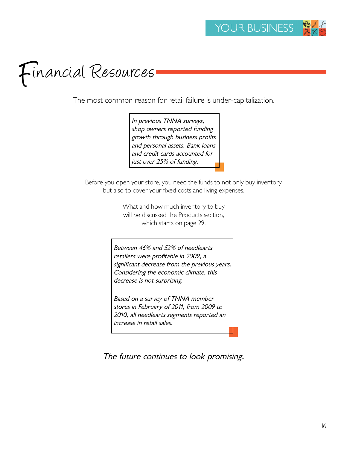# Financial Resources

The most common reason for retail failure is under-capitalization.

In previous TNNA surveys, shop owners reported funding growth through business profits and personal assets. Bank loans and credit cards accounted for just over 25% of funding.

Before you open your store, you need the funds to not only buy inventory, but also to cover your fixed costs and living expenses.

> What and how much inventory to buy will be discussed the Products section, which starts on page 29.

Between 46% and 52% of needlearts retailers were profitable in 2009, a significant decrease from the previous years. Considering the economic climate, this decrease is not surprising.

Based on a survey of TNNA member stores in February of 2011, from 2009 to 2010, all needlearts segments reported an increase in retail sales.

The future continues to look promising.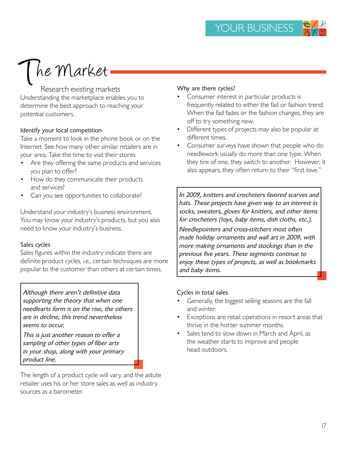# The Market

Research existing markets Understanding the marketplace enables you to determine the best approach to reaching your potential customers.

#### Identify your local competition

Take a moment to look in the phone book or on the Internet. See how many other similar retailers are in your area. Take the time to visit their stores.

- Are they offering the same products and services you plan to offer?
- How do they communicate their products and services?
- Can you see opportunities to collaborate?

Understand your industry's business environment. You may know your industry's products, but you also need to know your industry's business.

#### Sales cycles

Sales figures within the industry indicate there are definite product cycles, i.e., certain techniques are more popular to the customer than others at certain times.

Although there aren't definitive data supporting the theory that when one needlearts form is on the rise, the others are in decline, this trend nevertheless seems to occur.

This is just another reason to offer a sampling of other types of fiber arts in your shop, along with your primary product line.

The length of a product cycle will vary, and the astute retailer uses his or her store sales as well as industry sources as a barometer.

#### Why are there cycles?

- Consumer interest in particular products is frequently related to either the fad or fashion trend. When the fad fades or the fashion changes, they are off to try something new.
- Different types of projects may also be popular at different times.
- Consumer surveys have shown that people who do needlework usually do more than one type. When they tire of one, they switch to another. However, it also appears, they often return to their "first love."

In 2009, knitters and crocheters favored scarves and hats. These projects have given way to an interest in socks, sweaters, gloves for knitters, and other items for crocheters (toys, baby items, dish cloths, etc.).

Needlepointers and cross-stitchers most often made holiday ornaments and wall art in 2009, with more making ornaments and stockings than in the previous five years. These segments continue to enjoy these types of projects, as well as bookmarks and baby items.

#### Cycles in total sales

- Generally, the biggest selling seasons are the fall and winter.
- Exceptions are retail operations in resort areas that thrive in the hotter summer months.
- Sales tend to slow down in March and April, as the weather starts to improve and people head outdoors.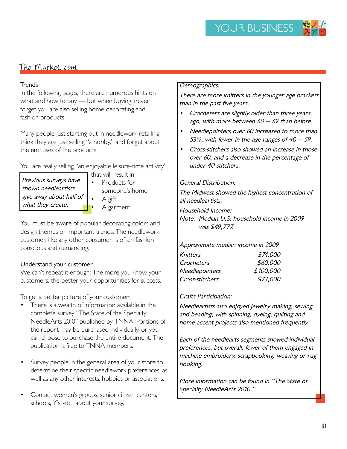# The Market, cont.

#### **Trends**

In the following pages, there are numerous hints on what and how to buy — but when buying, never forget you are also selling home decorating and fashion products.

Many people just starting out in needlework retailing think they are just selling "a hobby," and forget about the end uses of the products.

You are really selling "an enjoyable leisure-time activity"

- Previous surveys have shown needleartists give away about half of what they create.
- that will result in: Products for someone's home • A gift • A garment

You must be aware of popular decorating colors and design themes or important trends. The needlework customer, like any other consumer, is often fashion conscious and demanding.

#### Understand your customer

We can't repeat it enough: The more you know your customers, the better your opportunities for success.

To get a better picture of your customer:

- There is a wealth of information available in the complete survey "The State of the Specialty NeedleArts 2010" published by TNNA. Portions of the report may be purchased individually, or you can choose to purchase the entire document. The publication is free to TNNA members.
- Survey people in the general area of your store to determine their specific needlework preferences, as well as any other interests, hobbies or associations.
- Contact women's groups, senior citizen centers, schools, Y's, etc., about your survey.

#### Demographics:

There are more knitters in the younger age brackets than in the past five years.

- Crocheters are slightly older than three years ago, with more between  $60 - 69$  than before.
- Needlepointers over 60 increased to more than 53%, with fewer in the age ranges of 40 — 59.
- Cross-stitchers also showed an increase in those over 60, and a decrease in the percentage of under-40 stitchers.

#### General Distribution:

The Midwest showed the highest concentration of all needleartists.

Household Income:

Note: Median U.S. household income in 2009 was \$49,777.

#### Approximate median income in 2009

| Knitters        | \$74,000  |
|-----------------|-----------|
| Crocheters      | \$60,000  |
| Needlepointers  | \$100,000 |
| Cross-stitchers | \$73,000  |
|                 |           |

#### Crafts Participation:

Needleartists also enjoyed jewelry making, sewing and beading, with spinning, dyeing, quilting and home accent projects also mentioned frequently.

Each of the needlearts segments showed individual preferences, but overall, fewer of them engaged in machine embroidery, scrapbooking, weaving or rug hooking.

More information can be found in "The State of Specialty NeedleArts 2010."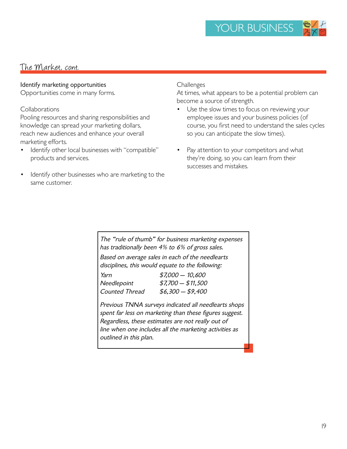# The Market, cont.

#### Identify marketing opportunities

Opportunities come in many forms.

#### Collaborations

Pooling resources and sharing responsibilities and knowledge can spread your marketing dollars, reach new audiences and enhance your overall marketing efforts.

- Identify other local businesses with "compatible" products and services.
- Identify other businesses who are marketing to the same customer.

#### **Challenges**

At times, what appears to be a potential problem can become a source of strength.

- Use the slow times to focus on reviewing your employee issues and your business policies (of course, you first need to understand the sales cycles so you can anticipate the slow times).
- Pay attention to your competitors and what they're doing, so you can learn from their successes and mistakes.

The "rule of thumb" for business marketing expenses has traditionally been 4% to 6% of gross sales. Based on average sales in each of the needlearts disciplines, this would equate to the following:

| $$7,000 - 10,600$  |
|--------------------|
| $$7,700 - $11,500$ |
| $$6,300 - $9,400$  |
|                    |

Previous TNNA surveys indicated all needlearts shops spent far less on marketing than these figures suggest. Regardless, these estimates are not really out of line when one includes all the marketing activities as outlined in this plan.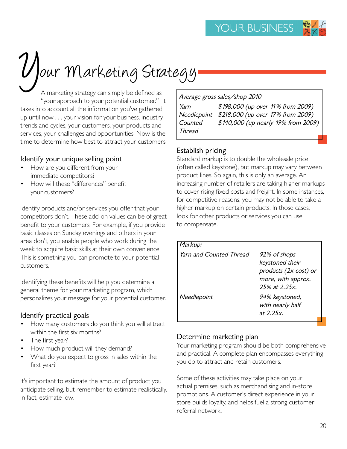

# $y'$ our Marketing Strategy

A marketing strategy can simply be defined as "your approach to your potential customer." It takes into account all the information you've gathered up until now . . . your vision for your business, industry trends and cycles, your customers, your products and services, your challenges and opportunities. Now is the time to determine how best to attract your customers.

#### Identify your unique selling point

- How are you different from your immediate competitors?
- How will these "differences" benefit your customers?

Identify products and/or services you offer that your competitors don't. These add-on values can be of great benefit to your customers. For example, if you provide basic classes on Sunday evenings and others in your area don't, you enable people who work during the week to acquire basic skills at their own convenience. This is something you can promote to your potential customers.

Identifying these benefits will help you determine a general theme for your marketing program, which personalizes your message for your potential customer.

### Identify practical goals

- How many customers do you think you will attract within the first six months?
- The first year?
- How much product will they demand?
- What do you expect to gross in sales within the first year?

It's important to estimate the amount of product you anticipate selling, but remember to estimate realistically. In fact, estimate low.

|                   | Average gross sales/shop 2010       |
|-------------------|-------------------------------------|
| Yarn              | \$198,000 (up over 11% from 2009)   |
| Needlepoint       | \$218,000 (up over 17% from 2009)   |
| Counted<br>Thread | \$140,000 (up nearly 19% from 2009) |

### Establish pricing

Standard markup is to double the wholesale price (often called keystone), but markup may vary between product lines. So again, this is only an average. An increasing number of retailers are taking higher markups to cover rising fixed costs and freight. In some instances, for competitive reasons, you may not be able to take a higher markup on certain products. In those cases, look for other products or services you can use to compensate.

| Markup:                 |                                                                                                 |
|-------------------------|-------------------------------------------------------------------------------------------------|
| Yarn and Counted Thread | 92% of shops<br>keystoned their<br>products (2x cost) or<br>more, with approx.<br>25% at 2.25x. |
| Needlepoint             | 94% keystoned,<br>with nearly half<br>at 2.25x.                                                 |

### Determine marketing plan

Your marketing program should be both comprehensive and practical. A complete plan encompasses everything you do to attract and retain customers.

Some of these activities may take place on your actual premises, such as merchandising and in-store promotions. A customer's direct experience in your store builds loyalty, and helps fuel a strong customer referral network.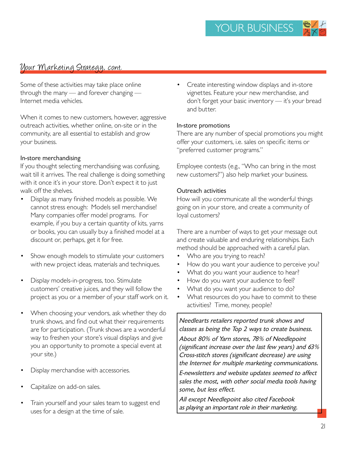### Vour Marketing Strategy, cont.

Some of these activities may take place online through the many — and forever changing — Internet media vehicles.

When it comes to new customers, however, aggressive outreach activities, whether online, on-site or in the community, are all essential to establish and grow your business.

#### In-store merchandising

If you thought selecting merchandising was confusing, wait till it arrives. The real challenge is doing something with it once it's in your store. Don't expect it to just walk off the shelves.

- Display as many finished models as possible. We cannot stress enough: Models sell merchandise! Many companies offer model programs. For example, if you buy a certain quantity of kits, yarns or books, you can usually buy a finished model at a discount or, perhaps, get it for free.
- Show enough models to stimulate your customers with new project ideas, materials and techniques.
- Display models-in-progress, too. Stimulate customers' creative juices, and they will follow the project as you or a member of your staff work on it.
- When choosing your vendors, ask whether they do trunk shows, and find out what their requirements are for participation. (Trunk shows are a wonderful way to freshen your store's visual displays and give you an opportunity to promote a special event at your site.)
- Display merchandise with accessories.
- Capitalize on add-on sales.
- Train yourself and your sales team to suggest end uses for a design at the time of sale.

Create interesting window displays and in-store vignettes. Feature your new merchandise, and don't forget your basic inventory — it's your bread and butter.

#### In-store promotions

There are any number of special promotions you might offer your customers, i.e. sales on specific items or "preferred customer programs."

Employee contests (e.g., "Who can bring in the most new customers?") also help market your business.

#### Outreach activities

How will you communicate all the wonderful things going on in your store, and create a community of loyal customers?

There are a number of ways to get your message out and create valuable and enduring relationships. Each method should be approached with a careful plan.

- Who are you trying to reach?
- How do you want your audience to perceive you?
- What do you want your audience to hear?
- How do you want your audience to feel?
- What do you want your audience to do?
- What resources do you have to commit to these activities? Time, money, people?

Needlearts retailers reported trunk shows and classes as being the Top 2 ways to create business. About 80% of Yarn stores, 78% of Needlepoint (significant increase over the last few years) and 63% Cross-stitch stores (significant decrease) are using the Internet for multiple marketing communications. E-newsletters and website updates seemed to affect sales the most, with other social media tools having some, but less effect.

All except Needlepoint also cited Facebook as playing an important role in their marketing.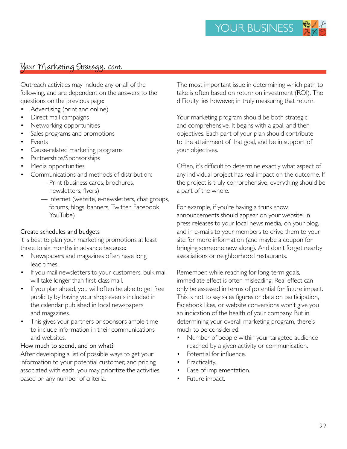# Vour Marketing Strategy, cont.

Outreach activities may include any or all of the following, and are dependent on the answers to the questions on the previous page:

- Advertising (print and online)
- Direct mail campaigns
- Networking opportunities
- Sales programs and promotions
- **Events**
- Cause-related marketing programs
- Partnerships/Sponsorships
- Media opportunities
- Communications and methods of distribution:
	- Print (business cards, brochures, newsletters, flyers)
	- Internet (website, e-newsletters, chat groups, forums, blogs, banners, Twitter, Facebook, YouTube)

#### Create schedules and budgets

It is best to plan your marketing promotions at least three to six months in advance because:

- Newspapers and magazines often have long lead times.
- If you mail newsletters to your customers, bulk mail will take longer than first-class mail.
- If you plan ahead, you will often be able to get free publicity by having your shop events included in the calendar published in local newspapers and magazines.
- This gives your partners or sponsors ample time to include information in their communications and websites.

#### How much to spend, and on what?

After developing a list of possible ways to get your information to your potential customer, and pricing associated with each, you may prioritize the activities based on any number of criteria.

The most important issue in determining which path to take is often based on return on investment (ROI). The difficulty lies however, in truly measuring that return.

Your marketing program should be both strategic and comprehensive. It begins with a goal, and then objectives. Each part of your plan should contribute to the attainment of that goal, and be in support of your objectives.

Often, it's difficult to determine exactly what aspect of any individual project has real impact on the outcome. If the project is truly comprehensive, everything should be a part of the whole.

For example, if you're having a trunk show, announcements should appear on your website, in press releases to your local news media, on your blog, and in e-mails to your members to drive them to your site for more information (and maybe a coupon for bringing someone new along). And don't forget nearby associations or neighborhood restaurants.

Remember, while reaching for long-term goals, immediate effect is often misleading. Real effect can only be assessed in terms of potential for future impact. This is not to say sales figures or data on participation, Facebook likes, or website conversions won't give you an indication of the health of your company. But in determining your overall marketing program, there's much to be considered:

- Number of people within your targeted audience reached by a given activity or communication.
- Potential for influence.
- Practicality.
- Ease of implementation.
- Future impact.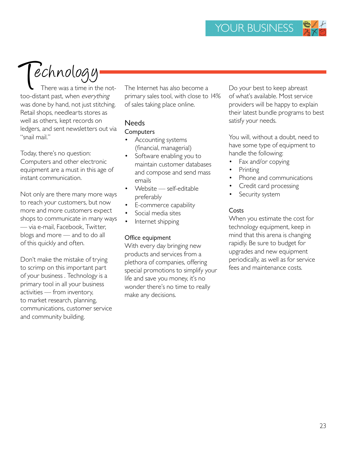$\blacktriangledown$ echnology

There was a time in the nottoo-distant past, when everything was done by hand, not just stitching. Retail shops, needlearts stores as well as others, kept records on ledgers, and sent newsletters out via "snail mail."

Today, there's no question: Computers and other electronic equipment are a must in this age of instant communication.

Not only are there many more ways to reach your customers, but now more and more customers expect shops to communicate in many ways — via e-mail, Facebook, Twitter, blogs and more — and to do all of this quickly and often.

Don't make the mistake of trying to scrimp on this important part of your business . Technology is a primary tool in all your business activities — from inventory, to market research, planning, communications, customer service and community building.

The Internet has also become a primary sales tool, with close to 14% of sales taking place online.

### Needs

#### **Computers**

- Accounting systems (financial, managerial)
- Software enabling you to maintain customer databases and compose and send mass emails
- Website self-editable preferably
- E-commerce capability
- Social media sites
- Internet shipping

#### Office equipment

With every day bringing new products and services from a plethora of companies, offering special promotions to simplify your life and save you money, it's no wonder there's no time to really make any decisions.

Do your best to keep abreast of what's available. Most service providers will be happy to explain their latest bundle programs to best satisfy your needs.

You will, without a doubt, need to have some type of equipment to handle the following:

- Fax and/or copying
- **Printing**
- Phone and communications
- Credit card processing
- Security system

#### Costs

When you estimate the cost for technology equipment, keep in mind that this arena is changing rapidly. Be sure to budget for upgrades and new equipment periodically, as well as for service fees and maintenance costs.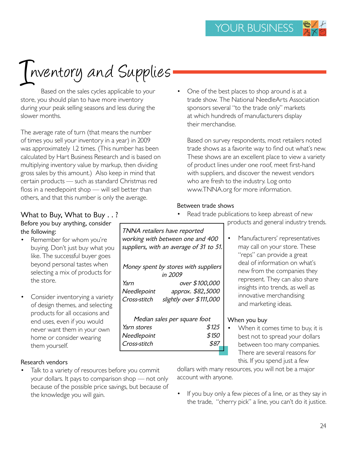# Inventory and Supplies

Based on the sales cycles applicable to your store, you should plan to have more inventory during your peak selling seasons and less during the slower months.

The average rate of turn (that means the number of times you sell your inventory in a year) in 2009 was approximately 1.2 times. (This number has been calculated by Hart Business Research and is based on multiplying inventory value by markup, then dividing gross sales by this amount.) Also keep in mind that certain products — such as standard Christmas red floss in a needlepoint shop — will sell better than others, and that this number is only the average.

• One of the best places to shop around is at a trade show. The National NeedleArts Association sponsors several "to the trade only" markets at which hundreds of manufacturers display their merchandise.

Based on survey respondents, most retailers noted trade shows as a favorite way to find out what's new. These shows are an excellent place to view a variety of product lines under one roof, meet first-hand with suppliers, and discover the newest vendors who are fresh to the industry. Log onto www.TNNA.org for more information.

products and general industry trends.

Manufacturers' representatives may call on your store. These "reps" can provide a great deal of information on what's new from the companies they represent. They can also share insights into trends, as well as innovative merchandising and marketing ideas.

When it comes time to buy, it is best not to spread your dollars between too many companies. There are several reasons for this. If you spend just a few

#### Between trade shows

Read trade publications to keep abreast of new

What to Buy, What to Buy . . ? Before you buy anything, consider the following:

- Remember for whom you're buying. Don't just buy what you like. The successful buyer goes beyond personal tastes when selecting a mix of products for the store.
- Consider inventorying a variety of design themes, and selecting products for all occasions and end uses, even if you would never want them in your own home or consider wearing them yourself.

#### Research vendors

Talk to a variety of resources before you commit your dollars. It pays to comparison shop — not only because of the possible price savings, but because of the knowledge you will gain.

dollars with many resources, you will not be a major account with anyone.

When you buy

If you buy only a few pieces of a line, or as they say in the trade, "cherry pick" a line, you can't do it justice.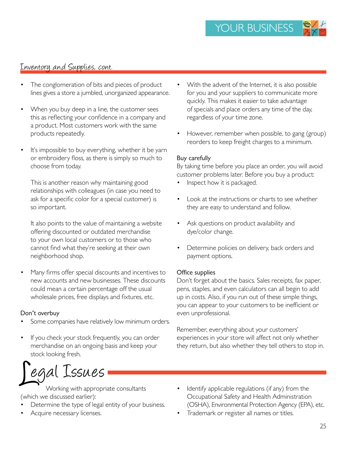# Inventory and Supplies, cont.

- The conglomeration of bits and pieces of product lines gives a store a jumbled, unorganized appearance.
- When you buy deep in a line, the customer sees this as reflecting your confidence in a company and a product. Most customers work with the same products repeatedly.
- It's impossible to buy everything, whether it be yarn or embroidery floss, as there is simply so much to choose from today.

This is another reason why maintaining good relationships with colleagues (in case you need to ask for a specific color for a special customer) is so important.

It also points to the value of maintaining a website offering discounted or outdated merchandise to your own local customers or to those who cannot find what they're seeking at their own neighborhood shop.

Many firms offer special discounts and incentives to new accounts and new businesses. These discounts could mean a certain percentage off the usual wholesale prices, free displays and fixtures, etc.

#### Don't overbuy

- Some companies have relatively low minimum orders.
- If you check your stock frequently, you can order merchandise on an ongoing basis and keep your stock looking fresh.

Legal Issues

 Working with appropriate consultants (which we discussed earlier):

- Determine the type of legal entity of your business.
- Acquire necessary licenses.
- With the advent of the Internet, it is also possible for you and your suppliers to communicate more quickly. This makes it easier to take advantage of specials and place orders any time of the day, regardless of your time zone.
- However, remember when possible, to gang (group) reorders to keep freight charges to a minimum.

#### Buy carefully

By taking time before you place an order, you will avoid customer problems later. Before you buy a product:

- Inspect how it is packaged.
- Look at the instructions or charts to see whether they are easy to understand and follow.
- Ask questions on product availability and dye/color change.
- Determine policies on delivery, back orders and payment options.

#### Office supplies

Don't forget about the basics. Sales receipts, fax paper, pens, staples, and even calculators can all begin to add up in costs. Also, if you run out of these simple things, you can appear to your customers to be inefficient or even unprofessional.

Remember, everything about your customers' experiences in your store will affect not only whether they return, but also whether they tell others to stop in.

- Identify applicable regulations (if any) from the Occupational Safety and Health Administration (OSHA), Environmental Protection Agency (EPA), etc.
- Trademark or register all names or titles.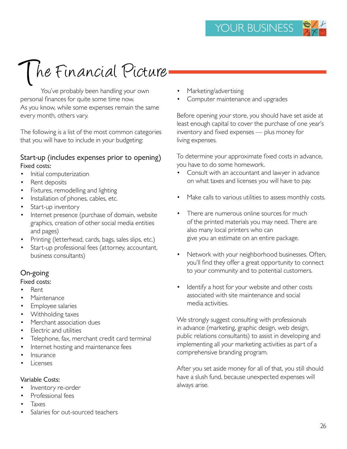# The Financial Picture

You've probably been handling your own personal finances for quite some time now. As you know, while some expenses remain the same every month, others vary.

The following is a list of the most common categories that you will have to include in your budgeting:

#### Start-up (includes expenses prior to opening) Fixed costs:

- Initial computerization
- Rent deposits
- Fixtures, remodelling and lighting
- Installation of phones, cables, etc.
- Start-up inventory
- Internet presence (purchase of domain, website graphics, creation of other social media entities and pages)
- Printing (letterhead, cards, bags, sales slips, etc.)
- Start-up professional fees (attorney, accountant, business consultants)

### On-going

#### Fixed costs:

- Rent
- Maintenance
- Employee salaries
- Withholding taxes
- Merchant association dues
- Electric and utilities
- Telephone, fax, merchant credit card terminal
- Internet hosting and maintenance fees
- **Insurance**
- Licenses

#### Variable Costs:

- Inventory re-order
- Professional fees
- Taxes
- Salaries for out-sourced teachers
- Marketing/advertising
- Computer maintenance and upgrades

Before opening your store, you should have set aside at least enough capital to cover the purchase of one year's inventory and fixed expenses — plus money for living expenses.

To determine your approximate fixed costs in advance, you have to do some homework.

- Consult with an accountant and lawyer in advance on what taxes and licenses you will have to pay.
- Make calls to various utilities to assess monthly costs.
- There are numerous online sources for much of the printed materials you may need. There are also many local printers who can give you an estimate on an entire package.
- Network with your neighborhood businesses. Often, you'll find they offer a great opportunity to connect to your community and to potential customers.
- Identify a host for your website and other costs associated with site maintenance and social media activities.

We strongly suggest consulting with professionals in advance (marketing, graphic design, web design, public relations consultants) to assist in developing and implementing all your marketing activities as part of a comprehensive branding program.

After you set aside money for all of that, you still should have a slush fund, because unexpected expenses will always arise.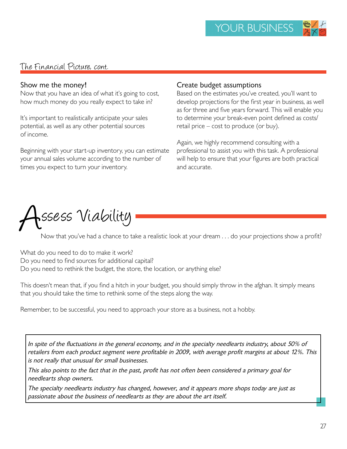## The Financial Picture, cont.

#### Show me the money!

Now that you have an idea of what it's going to cost, how much money do you really expect to take in?

It's important to realistically anticipate your sales potential, as well as any other potential sources of income.

Beginning with your start-up inventory, you can estimate your annual sales volume according to the number of times you expect to turn your inventory.

#### Create budget assumptions

Based on the estimates you've created, you'll want to develop projections for the first year in business, as well as for three and five years forward. This will enable you to determine your break-even point defined as costs/ retail price – cost to produce (or buy).

Again, we highly recommend consulting with a professional to assist you with this task. A professional will help to ensure that your figures are both practical and accurate.



Now that you've had a chance to take a realistic look at your dream . . . do your projections show a profit?

What do you need to do to make it work? Do you need to find sources for additional capital? Do you need to rethink the budget, the store, the location, or anything else?

This doesn't mean that, if you find a hitch in your budget, you should simply throw in the afghan. It simply means that you should take the time to rethink some of the steps along the way.

Remember, to be successful, you need to approach your store as a business, not a hobby.

In spite of the fluctuations in the general economy, and in the specialty needlearts industry, about 50% of retailers from each product segment were profitable in 2009, with average profit margins at about 12%. This is not really that unusual for small businesses.

This also points to the fact that in the past, profit has not often been considered a primary goal for needlearts shop owners.

The specialty needlearts industry has changed, however, and it appears more shops today are just as passionate about the business of needlearts as they are about the art itself.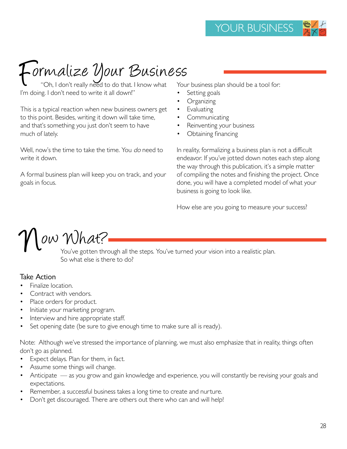# Formalize Your Business<br>"Oh, I don't really need to do that. I know what Your t

"Oh, I don't really need to do that. I know what I'm doing. I don't need to write it all down!"

This is a typical reaction when new business owners get to this point. Besides, writing it down will take time, and that's something you just don't seem to have much of lately.

Well, now's the time to take the time. You do need to write it down.

A formal business plan will keep you on track, and your goals in focus.

Your business plan should be a tool for:

- Setting goals
- **Organizing**
- **Evaluating**
- **Communicating**
- Reinventing your business
- Obtaining financing

In reality, formalizing a business plan is not a difficult endeavor. If you've jotted down notes each step along the way through this publication, it's a simple matter of compiling the notes and finishing the project. Once done, you will have a completed model of what your business is going to look like.

How else are you going to measure your success?

ow What?

You've gotten through all the steps. You've turned your vision into a realistic plan. So what else is there to do?

#### Take Action

- Finalize location.
- Contract with vendors.
- Place orders for product.
- Initiate your marketing program.
- Interview and hire appropriate staff.
- Set opening date (be sure to give enough time to make sure all is ready).

Note: Although we've stressed the importance of planning, we must also emphasize that in reality, things often don't go as planned.

- Expect delays. Plan for them, in fact.
- Assume some things will change.
- Anticipate as you grow and gain knowledge and experience, you will constantly be revising your goals and expectations.
- Remember, a successful business takes a long time to create and nurture.
- Don't get discouraged. There are others out there who can and will help!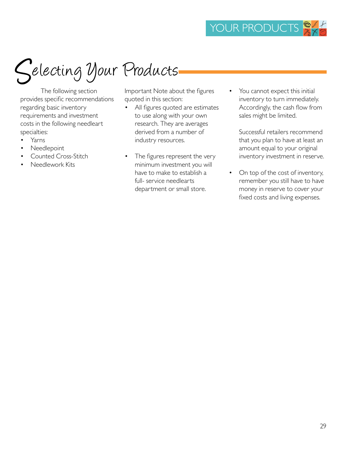

The following section provides specific recommendations regarding basic inventory requirements and investment costs in the following needleart specialties:

- Yarns
- Needlepoint
- Counted Cross-Stitch
- Needlework Kits

Important Note about the figures quoted in this section:

- All figures quoted are estimates to use along with your own research. They are averages derived from a number of industry resources.
- The figures represent the very minimum investment you will have to make to establish a full- service needlearts department or small store.
- You cannot expect this initial inventory to turn immediately. Accordingly, the cash flow from sales might be limited.

Successful retailers recommend that you plan to have at least an amount equal to your original inventory investment in reserve.

• On top of the cost of inventory, remember you still have to have money in reserve to cover your fixed costs and living expenses.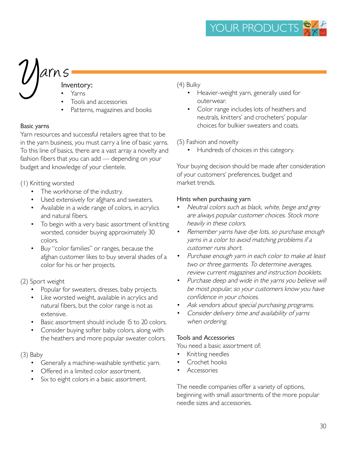# $\bigcup$ arns Inventory:

- Yarns
- Tools and accessories
- Patterns, magazines and books

#### Basic yarns

Yarn resources and successful retailers agree that to be in the yarn business, you must carry a line of basic yarns. To this line of basics, there are a vast array a novelty and fashion fibers that you can add — depending on your budget and knowledge of your clientele.

(1) Knitting worsted

- The workhorse of the industry.
- Used extensively for afghans and sweaters.
- Available in a wide range of colors, in acrylics and natural fibers.
- To begin with a very basic assortment of knitting worsted, consider buying approximately 30 colors.
- Buy "color families" or ranges, because the afghan customer likes to buy several shades of a color for his or her projects.

#### (2) Sport weight

- Popular for sweaters, dresses, baby projects.
- Like worsted weight, available in acrylics and natural fibers, but the color range is not as extensive.
- Basic assortment should include 15 to 20 colors.
- Consider buying softer baby colors, along with the heathers and more popular sweater colors.

#### (3) Baby

- Generally a machine-washable synthetic yarn.
- Offered in a limited color assortment.
- Six to eight colors in a basic assortment.

#### (4) Bulky

- Heavier-weight yarn, generally used for outerwear.
- Color range includes lots of heathers and neutrals, knitters' and crocheters' popular choices for bulkier sweaters and coats.

#### (5) Fashion and novelty

• Hundreds of choices in this category.

Your buying decision should be made after consideration of your customers' preferences, budget and market trends.

#### Hints when purchasing yarn

- Neutral colors such as black, white, beige and grey are always popular customer choices. Stock more heavily in these colors.
- Remember yarns have dye lots, so purchase enough yarns in a color to avoid matching problems if a customer runs short.
- Purchase enough yarn in each color to make at least two or three garments. To determine averages, review current magazines and instruction booklets.
- Purchase deep and wide in the yarns you believe will be most popular, so your customers know you have confidence in your choices.
- Ask vendors about special purchasing programs.
- Consider delivery time and availability of yarns when ordering.

#### Tools and Accessories

You need a basic assortment of:

- Knitting needles
- Crochet hooks
- Accessories

The needle companies offer a variety of options, beginning with small assortments of the more popular needle sizes and accessories.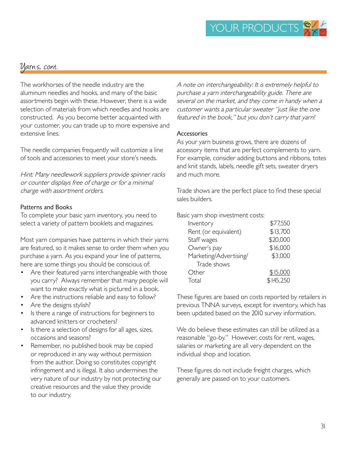# Uarns, cont.

The workhorses of the needle industry are the aluminum needles and hooks, and many of the basic assortments begin with these. However, there is a wide selection of materials from which needles and hooks are constructed. As you become better acquainted with your customer, you can trade up to more expensive and extensive lines.

The needle companies frequently will customize a line of tools and accessories to meet your store's needs.

Hint: Many needlework suppliers provide spinner racks or counter displays free of charge or for a minimal charge with assortment orders.

#### Patterns and Books

To complete your basic yarn inventory, you need to select a variety of pattern booklets and magazines.

Most yarn companies have patterns in which their yarns are featured, so it makes sense to order them when you purchase a yarn. As you expand your line of patterns, here are some things you should be conscious of:

- Are their featured yarns interchangeable with those you carry? Always remember that many people will want to make exactly what is pictured in a book.
- Are the instructions reliable and easy to follow?
- Are the designs stylish?
- Is there a range of instructions for beginners to advanced knitters or crocheters?
- Is there a selection of designs for all ages, sizes, occasions and seasons?
- Remember, no published book may be copied or reproduced in any way without permission from the author. Doing so constitutes copyright infringement and is illegal. It also undermines the very nature of our industry by not protecting our creative resources and the value they provide to our industry.

A note on interchangeability: It is extremely helpful to purchase a yarn interchangeability guide. There are several on the market, and they come in handy when a customer wants a particular sweater "just like the one featured in the book," but you don't carry that yarn!

#### Accessories

As your yarn business grows, there are dozens of accessory items that are perfect complements to yarn. For example, consider adding buttons and ribbons, totes and knit stands, labels, needle gift sets, sweater dryers and much more.

Trade shows are the perfect place to find these special sales builders.

Basic yarn shop investment costs:

| Inventory              | \$77,550  |
|------------------------|-----------|
| Rent (or equivalent)   | \$13,700  |
| Staff wages            | \$20,000  |
| Owner's pay            | \$16,000  |
| Marketing/Advertising/ | \$3,000   |
| Trade shows            |           |
| Other                  | \$15,000  |
| Total                  | \$145,250 |
|                        |           |

These figures are based on costs reported by retailers in previous TNNA surveys, except for inventory, which has been updated based on the 2010 survey information.

We do believe these estimates can still be utilized as a reasonable "go-by." However, costs for rent, wages, salaries or marketing are all very dependent on the individual shop and location.

These figures do not include freight charges, which generally are passed on to your customers.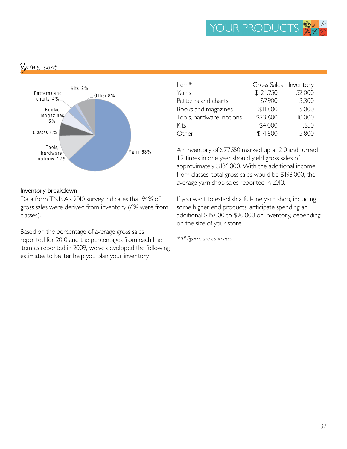### Varns, cont.



#### Inventory breakdown

Data from TNNA's 2010 survey indicates that 94% of gross sales were derived from inventory (6% were from classes).

Based on the percentage of average gross sales reported for 2010 and the percentages from each line item as reported in 2009, we've developed the following estimates to better help you plan your inventory.

| Item <sup>*</sup>        | Gross Sales Inventory |        |
|--------------------------|-----------------------|--------|
| Yarns                    | \$124,750             | 52,000 |
| Patterns and charts      | \$7,900               | 3,300  |
| Books and magazines      | \$II,800              | 5,000  |
| Tools, hardware, notions | \$23,600              | 10,000 |
| Kits                     | \$4,000               | 1,650  |
| Other                    | \$14,800              | 5,800  |

An inventory of \$77,550 marked up at 2.0 and turned 1.2 times in one year should yield gross sales of approximately \$186,000. With the additional income from classes, total gross sales would be \$198,000, the average yarn shop sales reported in 2010.

If you want to establish a full-line yarn shop, including some higher end products, anticipate spending an additional \$15,000 to \$20,000 on inventory, depending on the size of your store.

\*All figures are estimates.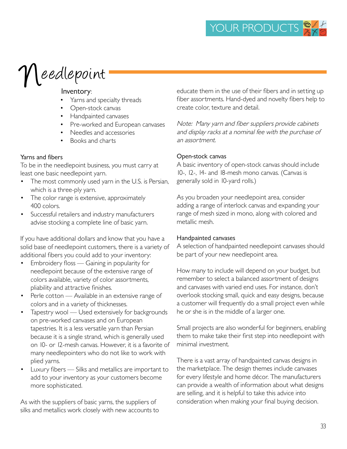# $\gamma$ Leedlepoint

#### Inventory:

- Yarns and specialty threads
- Open-stock canvas
- Handpainted canvases
- Pre-worked and European canvases
- Needles and accessories
- Books and charts

#### Yarns and fibers

To be in the needlepoint business, you must carry at least one basic needlepoint yarn.

- The most commonly used yarn in the U.S. is Persian, which is a three-ply yarn.
- The color range is extensive, approximately 400 colors.
- Successful retailers and industry manufacturers advise stocking a complete line of basic yarn.

If you have additional dollars and know that you have a solid base of needlepoint customers, there is a variety of additional fibers you could add to your inventory:

- Embroidery floss Gaining in popularity for needlepoint because of the extensive range of colors available, variety of color assortments, pliability and attractive finishes.
- Perle cotton Available in an extensive range of colors and in a variety of thicknesses.
- Tapestry wool Used extensively for backgrounds on pre-worked canvases and on European tapestries. It is a less versatile yarn than Persian because it is a single strand, which is generally used on 10- or 12-mesh canvas. However, it is a favorite of many needlepointers who do not like to work with plied yarns.
- Luxury fibers Silks and metallics are important to add to your inventory as your customers become more sophisticated.

As with the suppliers of basic yarns, the suppliers of silks and metallics work closely with new accounts to educate them in the use of their fibers and in setting up fiber assortments. Hand-dyed and novelty fibers help to create color, texture and detail.

Note: Many yarn and fiber suppliers provide cabinets and display racks at a nominal fee with the purchase of an assortment.

#### Open-stock canvas

A basic inventory of open-stock canvas should include 10-, 12-, 14- and 18-mesh mono canvas. (Canvas is generally sold in 10-yard rolls.)

As you broaden your needlepoint area, consider adding a range of interlock canvas and expanding your range of mesh sized in mono, along with colored and metallic mesh.

#### Handpainted canvases

A selection of handpainted needlepoint canvases should be part of your new needlepoint area.

How many to include will depend on your budget, but remember to select a balanced assortment of designs and canvases with varied end uses. For instance, don't overlook stocking small, quick and easy designs, because a customer will frequently do a small project even while he or she is in the middle of a larger one.

Small projects are also wonderful for beginners, enabling them to make take their first step into needlepoint with minimal investment.

There is a vast array of handpainted canvas designs in the marketplace. The design themes include canvases for every lifestyle and home décor. The manufacturers can provide a wealth of information about what designs are selling, and it is helpful to take this advice into consideration when making your final buying decision.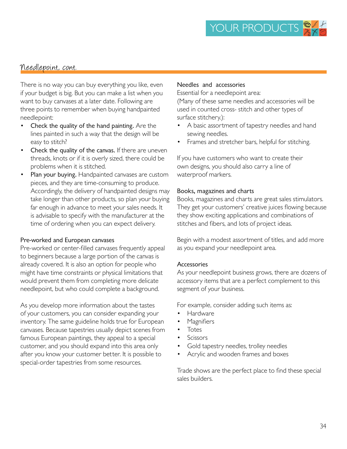### Needlepoint, cont.

There is no way you can buy everything you like, even if your budget is big. But you can make a list when you want to buy canvases at a later date. Following are three points to remember when buying handpainted needlepoint:

- Check the quality of the hand painting. Are the lines painted in such a way that the design will be easy to stitch?
- Check the quality of the canvas. If there are uneven threads, knots or if it is overly sized, there could be problems when it is stitched.
- Plan your buying. Handpainted canvases are custom pieces, and they are time-consuming to produce. Accordingly, the delivery of handpainted designs may take longer than other products, so plan your buying far enough in advance to meet your sales needs. It is advisable to specify with the manufacturer at the time of ordering when you can expect delivery.

#### Pre-worked and European canvases

Pre-worked or center-filled canvases frequently appeal to beginners because a large portion of the canvas is already covered. It is also an option for people who might have time constraints or physical limitations that would prevent them from completing more delicate needlepoint, but who could complete a background.

As you develop more information about the tastes of your customers, you can consider expanding your inventory. The same guideline holds true for European canvases. Because tapestries usually depict scenes from famous European paintings, they appeal to a special customer, and you should expand into this area only after you know your customer better. It is possible to special-order tapestries from some resources.

#### Needles and accessories

Essential for a needlepoint area:

(Many of these same needles and accessories will be used in counted cross- stitch and other types of surface stitchery.):

- A basic assortment of tapestry needles and hand sewing needles.
- Frames and stretcher bars, helpful for stitching.

If you have customers who want to create their own designs, you should also carry a line of waterproof markers.

#### Books, magazines and charts

Books, magazines and charts are great sales stimulators. They get your customers' creative juices flowing because they show exciting applications and combinations of stitches and fibers, and lots of project ideas.

Begin with a modest assortment of titles, and add more as you expand your needlepoint area.

#### Accessories

As your needlepoint business grows, there are dozens of accessory items that are a perfect complement to this segment of your business.

For example, consider adding such items as:

- Hardware
- **Magnifiers**
- Totes
- Scissors
- Gold tapestry needles, trolley needles
- Acrylic and wooden frames and boxes

Trade shows are the perfect place to find these special sales builders.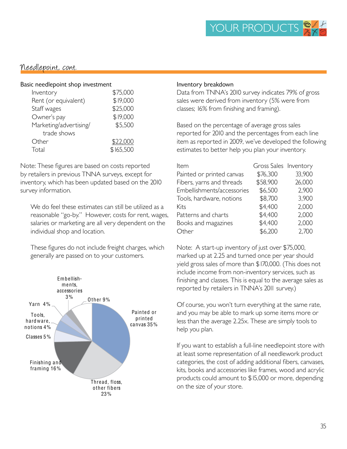### Needlepoint, cont.

#### Basic needlepoint shop investment

| Inventory              | \$75,000  |
|------------------------|-----------|
| Rent (or equivalent)   | \$19,000  |
| Staff wages            | \$25,000  |
| Owner's pay            | \$19,000  |
| Marketing/advertising/ | \$5,500   |
| trade shows            |           |
| Other                  | \$22,000  |
| Total                  | \$165,500 |

Note: These figures are based on costs reported by retailers in previous TNNA surveys, except for inventory, which has been updated based on the 2010 survey information.

We do feel these estimates can still be utilized as a reasonable "go-by." However, costs for rent, wages, salaries or marketing are all very dependent on the individual shop and location.

These figures do not include freight charges, which generally are passed on to your customers.



#### Inventory breakdown

Data from TNNA's 2010 survey indicates 79% of gross sales were derived from inventory (5% were from classes; 16% from finishing and framing).

Based on the percentage of average gross sales reported for 2010 and the percentages from each line item as reported in 2009, we've developed the following estimates to better help you plan your inventory.

| Item                       | Gross Sales Inventory |        |
|----------------------------|-----------------------|--------|
| Painted or printed canvas  | \$76,300              | 33,900 |
| Fibers, yarns and threads  | \$58,900              | 26,000 |
| Embellishments/accessories | \$6,500               | 2,900  |
| Tools, hardware, notions   | \$8,700               | 3,900  |
| Kits                       | \$4,400               | 2,000  |
| Patterns and charts        | \$4,400               | 2,000  |
| Books and magazines        | \$4,400               | 2,000  |
| Other                      | \$6,200               | 2,700  |

Note: A start-up inventory of just over \$75,000, marked up at 2.25 and turned once per year should yield gross sales of more than \$170,000. (This does not include income from non-inventory services, such as finishing and classes. This is equal to the average sales as reported by retailers in TNNA's 2011 survey.)

Of course, you won't turn everything at the same rate, and you may be able to mark up some items more or less than the average 2.25x. These are simply tools to help you plan.

If you want to establish a full-line needlepoint store with at least some representation of all needlework product categories, the cost of adding additional fibers, canvases, kits, books and accessories like frames, wood and acrylic products could amount to \$15,000 or more, depending on the size of your store.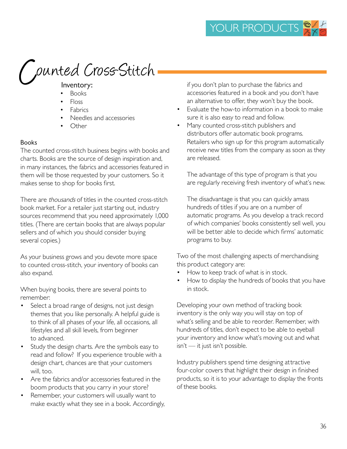# punted Cross-Stitch

- Books
- Floss
- **Fabrics**
- Needles and accessories
- Other

#### Books

The counted cross-stitch business begins with books and charts. Books are the source of design inspiration and, in many instances, the fabrics and accessories featured in them will be those requested by your customers. So it makes sense to shop for books first.

There are thousands of titles in the counted cross-stitch book market. For a retailer just starting out, industry sources recommend that you need approximately 1,000 titles. (There are certain books that are always popular sellers and of which you should consider buying several copies.)

As your business grows and you devote more space to counted cross-stitch, your inventory of books can also expand.

When buying books, there are several points to remember:

- Select a broad range of designs, not just design themes that you like personally. A helpful guide is to think of all phases of your life, all occasions, all lifestyles and all skill levels, from beginner to advanced.
- Study the design charts. Are the symbols easy to read and follow? If you experience trouble with a design chart, chances are that your customers will, too.
- Are the fabrics and/or accessories featured in the boom products that you carry in your store?
- Remember, your customers will usually want to make exactly what they see in a book. Accordingly,

if you don't plan to purchase the fabrics and accessories featured in a book and you don't have an alternative to offer, they won't buy the book.

- Evaluate the how-to information in a book to make sure it is also easy to read and follow.
- Many counted cross-stitch publishers and distributors offer automatic book programs. Retailers who sign up for this program automatically receive new titles from the company as soon as they are released.

The advantage of this type of program is that you are regularly receiving fresh inventory of what's new.

The disadvantage is that you can quickly amass hundreds of titles if you are on a number of automatic programs. As you develop a track record of which companies' books consistently sell well, you will be better able to decide which firms' automatic programs to buy.

Two of the most challenging aspects of merchandising this product category are:

- How to keep track of what is in stock.
- How to display the hundreds of books that you have in stock.

Developing your own method of tracking book inventory is the only way you will stay on top of what's selling and be able to reorder. Remember, with hundreds of titles, don't expect to be able to eyeball your inventory and know what's moving out and what isn't — it just isn't possible.

Industry publishers spend time designing attractive four-color covers that highlight their design in finished products, so it is to your advantage to display the fronts of these books.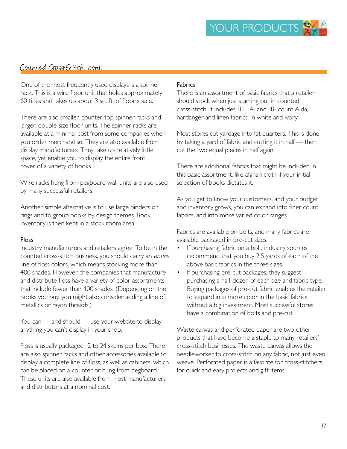### Counted Cross-Stitch, cont.

One of the most frequently used displays is a spinner rack. This is a wire floor unit that holds approximately 60 titles and takes up about 3 sq. ft. of floor space.

There are also smaller, counter-top spinner racks and larger, double-size floor units. The spinner racks are available at a minimal cost from some companies when you order merchandise. They are also available from display manufacturers. They take up relatively little space, yet enable you to display the entire front cover of a variety of books.

Wire racks hung from pegboard wall units are also used by many successful retailers.

Another simple alternative is to use large binders or rings and to group books by design themes. Book inventory is then kept in a stock room area.

#### Floss

Industry manufacturers and retailers agree: To be in the counted cross-stitch business, you should carry an entire line of floss colors, which means stocking more than 400 shades. However, the companies that manufacture and distribute floss have a variety of color assortments that include fewer than 400 shades. (Depending on the books you buy, you might also consider adding a line of metallics or rayon threads.)

You can — and should — use your website to display anything you can't display in your shop.

Floss is usually packaged 12 to 24 skeins per box. There are also spinner racks and other accessories available to display a complete line of floss, as well as cabinets, which can be placed on a counter or hung from pegboard. These units are also available from most manufacturers and distributors at a nominal cost.

#### Fabrics

There is an assortment of basic fabrics that a retailer should stock when just starting out in counted cross-stitch. It includes 11-, 14- and 18- count Aida, hardanger and linen fabrics, in white and ivory.

Most stores cut yardage into fat quarters. This is done by taking a yard of fabric and cutting it in half — then cut the two equal pieces in half again.

There are additional fabrics that might be included in this basic assortment, like afghan cloth if your initial selection of books dictates it.

As you get to know your customers, and your budget and inventory grows, you can expand into finer count fabrics, and into more varied color ranges.

Fabrics are available on bolts, and many fabrics are available packaged in pre-cut sizes.

- If purchasing fabric on a bolt, industry sources recommend that you buy 2.5 yards of each of the above basic fabrics in the three sizes.
- If purchasing pre-cut packages, they suggest purchasing a half-dozen of each size and fabric type. Buying packages of pre-cut fabric enables the retailer to expand into more color in the basic fabrics without a big investment. Most successful stores have a combination of bolts and pre-cut.

Waste canvas and perforated paper are two other products that have become a staple to many retailers' cross-stitch businesses. The waste canvas allows the needleworker to cross-stitch on any fabric, not just even weave. Perforated paper is a favorite for cross-stitchers for quick and easy projects and gift items.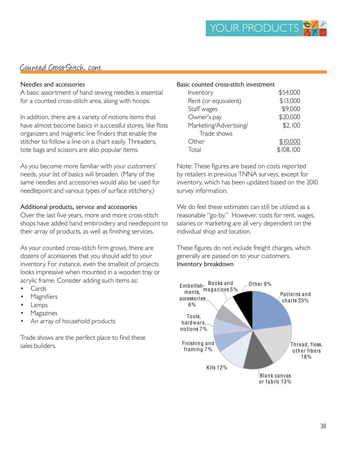### Counted Cross-Stitch, cont.

#### Needles and accessories

A basic assortment of hand sewing needles is essential for a counted cross-stitch area, along with hoops.

In addition, there are a variety of notions items that have almost become basics in successful stores, like floss organizers and magnetic line finders that enable the stitcher to follow a line on a chart easily. Threaders, tote bags and scissors are also popular items.

As you become more familiar with your customers' needs, your list of basics will broaden. (Many of the same needles and accessories would also be used for needlepoint and various types of surface stitchery.)

#### Additional products, service and accessories

Over the last five years, more and more cross-stitch shops have added hand embroidery and needlepoint to their array of products, as well as finishing services.

As your counted cross-stitch firm grows, there are dozens of accessories that you should add to your inventory. For instance, even the smallest of projects looks impressive when mounted in a wooden tray or acrylic frame. Consider adding such items as:

- Cards
- **Magnifiers**
- Lamps
- **Magazines**
- An array of household products

Trade shows are the perfect place to find these sales builders.

#### Basic counted cross-stitch investment

| Inventory              | \$54,000  |
|------------------------|-----------|
| Rent (or equivalent)   | \$13,000  |
| Staff wages            | \$9,000   |
| Owner's pay            | \$20,000  |
| Marketing/Advertising/ | \$2,100   |
| Trade shows            |           |
| Other                  | \$10,000  |
| Total                  | \$108,100 |

Note: These figures are based on costs reported by retailers in previous TNNA surveys, except for inventory, which has been updated based on the 2010 survey information.

We do feel these estimates can still be utilized as a reasonable "go-by." However, costs for rent, wages, salaries or marketing are all very dependent on the individual shop and location.

These figures do not include freight charges, which generally are passed on to your customers. Inventory breakdown

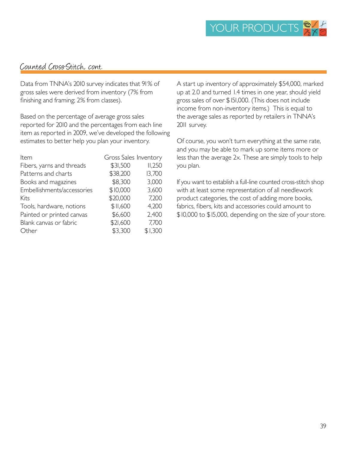## Counted Cross-Stitch, cont.

Data from TNNA's 2010 survey indicates that 91% of gross sales were derived from inventory (7% from finishing and framing; 2% from classes).

Based on the percentage of average gross sales reported for 2010 and the percentages from each line item as reported in 2009, we've developed the following estimates to better help you plan your inventory.

| Item                       | Gross Sales Inventory |         |
|----------------------------|-----------------------|---------|
| Fibers, yarns and threads  | \$31,500              | II,250  |
| Patterns and charts        | \$38,200              | 13,700  |
| Books and magazines        | \$8,300               | 3,000   |
| Embellishments/accessories | \$10,000              | 3,600   |
| Kits                       | \$20,000              | 7,200   |
| Tools, hardware, notions   | \$II,600              | 4,200   |
| Painted or printed canvas  | \$6,600               | 2,400   |
| Blank canvas or fabric     | \$21,600              | 7,700   |
| Other                      | \$3,300               | \$1,300 |

A start up inventory of approximately \$54,000, marked up at 2.0 and turned 1.4 times in one year, should yield gross sales of over \$151,000. (This does not include income from non-inventory items.) This is equal to the average sales as reported by retailers in TNNA's 2011 survey.

Of course, you won't turn everything at the same rate, and you may be able to mark up some items more or less than the average 2x. These are simply tools to help you plan.

If you want to establish a full-line counted cross-stitch shop with at least some representation of all needlework product categories, the cost of adding more books, fabrics, fibers, kits and accessories could amount to \$10,000 to \$15,000, depending on the size of your store.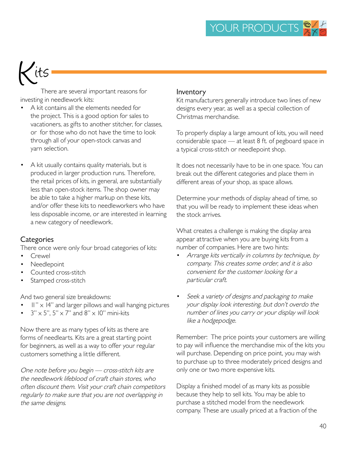# its

There are several important reasons for investing in needlework kits:

- A kit contains all the elements needed for the project. This is a good option for sales to vacationers, as gifts to another stitcher, for classes, or for those who do not have the time to look through all of your open-stock canvas and yarn selection.
- A kit usually contains quality materials, but is produced in larger production runs. Therefore, the retail prices of kits, in general, are substantially less than open-stock items. The shop owner may be able to take a higher markup on these kits, and/or offer these kits to needleworkers who have less disposable income, or are interested in learning a new category of needlework.

#### **Categories**

There once were only four broad categories of kits:

- **Crewel**
- Needlepoint
- Counted cross-stitch
- Stamped cross-stitch

And two general size breakdowns:

- $II'' \times 14''$  and larger pillows and wall hanging pictures
- $3'' \times 5''$ ,  $5'' \times 7''$  and  $8'' \times 10''$  mini-kits

Now there are as many types of kits as there are forms of needlearts. Kits are a great starting point for beginners, as well as a way to offer your regular customers something a little different.

One note before you begin — cross-stitch kits are the needlework lifeblood of craft chain stores, who often discount them. Visit your craft chain competitors regularly to make sure that you are not overlapping in the same designs.

#### Inventory

Kit manufacturers generally introduce two lines of new designs every year, as well as a special collection of Christmas merchandise.

To properly display a large amount of kits, you will need considerable space — at least 8 ft. of pegboard space in a typical cross-stitch or needlepoint shop.

It does not necessarily have to be in one space. You can break out the different categories and place them in different areas of your shop, as space allows.

Determine your methods of display ahead of time, so that you will be ready to implement these ideas when the stock arrives.

What creates a challenge is making the display area appear attractive when you are buying kits from a number of companies. Here are two hints:

- Arrange kits vertically in columns by technique, by company. This creates some order, and it is also convenient for the customer looking for a particular craft.
- Seek a variety of designs and packaging to make your display look interesting, but don't overdo the number of lines you carry or your display will look like a hodgepodge.

Remember: The price points your customers are willing to pay will influence the merchandise mix of the kits you will purchase. Depending on price point, you may wish to purchase up to three moderately priced designs and only one or two more expensive kits.

Display a finished model of as many kits as possible because they help to sell kits. You may be able to purchase a stitched model from the needlework company. These are usually priced at a fraction of the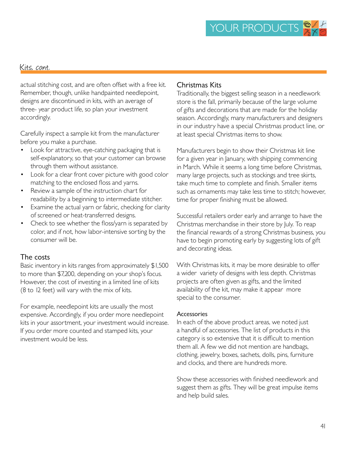#### Kits, cont.

actual stitching cost, and are often offset with a free kit. Remember, though, unlike handpainted needlepoint, designs are discontinued in kits, with an average of three- year product life, so plan your investment accordingly.

Carefully inspect a sample kit from the manufacturer before you make a purchase.

- Look for attractive, eye-catching packaging that is self-explanatory, so that your customer can browse through them without assistance.
- Look for a clear front cover picture with good color matching to the enclosed floss and yarns.
- Review a sample of the instruction chart for readability by a beginning to intermediate stitcher.
- Examine the actual yarn or fabric, checking for clarity of screened or heat-transferred designs.
- Check to see whether the floss/yarn is separated by color, and if not, how labor-intensive sorting by the consumer will be.

#### The costs

Basic inventory in kits ranges from approximately \$1,500 to more than \$7,200, depending on your shop's focus. However, the cost of investing in a limited line of kits (8 to 12 feet) will vary with the mix of kits.

For example, needlepoint kits are usually the most expensive. Accordingly, if you order more needlepoint kits in your assortment, your investment would increase. If you order more counted and stamped kits, your investment would be less.

#### Christmas Kits

Traditionally, the biggest selling season in a needlework store is the fall, primarily because of the large volume of gifts and decorations that are made for the holiday season. Accordingly, many manufacturers and designers in our industry have a special Christmas product line, or at least special Christmas items to show.

Manufacturers begin to show their Christmas kit line for a given year in January, with shipping commencing in March. While it seems a long time before Christmas, many large projects, such as stockings and tree skirts, take much time to complete and finish. Smaller items such as ornaments may take less time to stitch; however, time for proper finishing must be allowed.

Successful retailers order early and arrange to have the Christmas merchandise in their store by July. To reap the financial rewards of a strong Christmas business, you have to begin promoting early by suggesting lots of gift and decorating ideas.

With Christmas kits, it may be more desirable to offer a wider variety of designs with less depth. Christmas projects are often given as gifts, and the limited availability of the kit, may make it appear more special to the consumer.

#### **Accessories**

In each of the above product areas, we noted just a handful of accessories. The list of products in this category is so extensive that it is difficult to mention them all. A few we did not mention are handbags, clothing, jewelry, boxes, sachets, dolls, pins, furniture and clocks, and there are hundreds more.

Show these accessories with finished needlework and suggest them as gifts. They will be great impulse items and help build sales.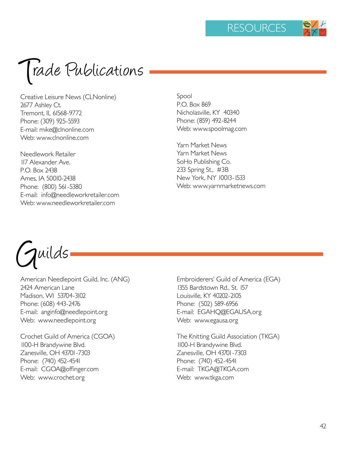Trade Publications

Creative Leisure News (CLNonline) 2677 Ashley Ct. Tremont, IL 61568-9772 Phone: (309) 925-5593 E-mail: mike@clnonline.com Web: www.clnonline.com

Needlework Retailer 117 Alexander Ave. P.O. Box 2438 Ames, IA 50010-2438 Phone: (800) 561-5380 E-mail: info@needleworkretailer.com Web: www.needleworkretailer.com

Spool P.O. Box 869 Nicholasville, KY 40340 Phone: (859) 492-8244 Web: www.spoolmag.com

Yarn Market News Yarn Market News SoHo Publishing Co. 233 Spring St., #3B New York, NY 10013-1533 Web: www.yarnmarketnews.com

Guilds

American Needlepoint Guild, Inc. (ANG) 2424 American Lane Madison, WI 53704-3102 Phone: (608) 443-2476 E-mail: anginfo@needlepoint.org Web: www.needlepoint.org

Crochet Guild of America (CGOA) 1100-H Brandywine Blvd. Zanesville, OH 43701-7303 Phone: (740) 452-4541 E-mail: CGOA@offinger.com Web: www.crochet.org

Embroiderers' Guild of America (EGA) 1355 Bardstown Rd., St. 157 Louisville, KY 40202-2105 Phone: (502) 589-6956 E-mail: EGAHQ@EGAUSA.org Web: www.egausa.org

The Knitting Guild Association (TKGA) 1100-H Brandywine Blvd. Zanesville, OH 43701-7303 Phone: (740) 452-4541 E-mail: TKGA@TKGA.com Web: www.tkga.com